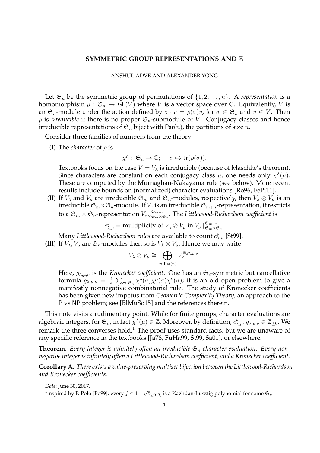## **SYMMETRIC GROUP REPRESENTATIONS AND** Z

## ANSHUL ADVE AND ALEXANDER YONG

Let  $\mathfrak{S}_n$  be the symmetric group of permutations of  $\{1, 2, \ldots, n\}$ . A *representation* is a homomorphism  $\rho : \mathfrak{S}_n \to GL(V)$  where V is a vector space over C. Equivalently, V is an  $\mathfrak{S}_n$ -module under the action defined by  $\sigma \cdot v = \rho(\sigma)v$ , for  $\sigma \in \mathfrak{S}_n$  and  $v \in V$ . Then  $\rho$  is *irreducible* if there is no proper  $\mathfrak{S}_n$ -submodule of *V*. Conjugacy classes and hence irreducible representations of  $\mathfrak{S}_n$  biject with Par(n), the partitions of size n.

Consider three families of numbers from the theory:

(I) The *character* of  $\rho$  is

 $\chi^{\rho}: \mathfrak{S}_n \to \mathbb{C}; \quad \sigma \mapsto \text{tr}(\rho(\sigma)).$ 

Textbooks focus on the case  $V = V_{\lambda}$  is irreducible (because of Maschke's theorem). Since characters are constant on each conjugacy class  $\mu$ , one needs only  $\chi^{\lambda}(\mu)$ . These are computed by the Murnaghan-Nakayama rule (see below). More recent results include bounds on (normalized) character evaluations [Ro96, FePi11].

(II) If  $V_\lambda$  and  $V_\mu$  are irreducible  $\mathfrak{S}_m$  and  $\mathfrak{S}_n$ -modules, respectively, then  $V_\lambda \otimes V_\mu$  is an irreducible  $\mathfrak{S}_m\times\mathfrak{S}_n$ -module. If  $V_\nu$  is an irreducible  $\mathfrak{S}_{m+n}$ -representation, it restricts to a  $\mathfrak{S}_m\times\mathfrak{S}_n$ -representation  $V_\nu\!\downarrow_{\mathfrak{S}_m\times\mathfrak{S}_n}^{\mathfrak{S}_{m+n}}$  $\mathbb{S}^{m+n}_{\mathfrak{S}_m\times\mathfrak{S}_n}.$  The Littlewood-Richardson coefficient is

$$
c_{\lambda,\mu}^{\nu} = \text{multiplicity of } V_{\lambda} \otimes V_{\mu} \text{ in } V_{\nu} \downarrow_{\mathfrak{S}_m \times \mathfrak{S}_n}^{\mathfrak{S}_{m+n}}.
$$

Many *Littlewood-Richardson rules* are available to count  $c_{\lambda,\mu}^\nu$  [St99].

(III) If  $V_{\lambda}$ ,  $V_{\mu}$  are  $\mathfrak{S}_n$ -modules then so is  $V_{\lambda} \otimes V_{\mu}$ . Hence we may write

$$
V_{\lambda} \otimes V_{\mu} \cong \bigoplus_{\nu \in \text{Par}(n)} V_{\nu}^{\oplus g_{\lambda,\mu,\nu}}.
$$

Here,  $g_{\lambda,\mu,\nu}$  is the *Kronecker coefficient*. One has an  $\mathfrak{S}_3$ -symmetric but cancellative formula  $g_{\lambda,\mu,\nu} = \frac{1}{n}$  $\frac{1}{n!}\sum_{\sigma\in\mathfrak{S}_n}\chi^{\lambda}(\sigma)\chi^{\mu}(\sigma)\chi^{\nu}(\sigma)$ ; it is an old open problem to give a manifestly nonnegative combinatorial rule. The study of Kronecker coefficients has been given new impetus from *Geometric Complexity Theory*, an approach to the P vs NP problem; see [BlMuSo15] and the references therein.

This note visits a rudimentary point. While for finite groups, character evaluations are algebraic integers, for  $\mathfrak{S}_n$ , in fact  $\chi^{\lambda}(\mu) \in \mathbb{Z}$ . Moreover, by definition,  $c^{\nu}_{\lambda,\mu}, g_{\lambda,\mu,\nu} \in \mathbb{Z}_{\geq 0}$ . We remark the three converses hold.<sup>1</sup> The proof uses standard facts, but we are unaware of any specific reference in the textbooks [Ja78, FuHa99, St99, Sa01], or elsewhere.

**Theorem.** Every integer is infinitely often an irreducible  $\mathfrak{S}_n$ -character evaluation. Every non*negative integer is infinitely often a Littlewood-Richardson coefficient, and a Kronecker coefficient.*

**Corollary A.** *There exists a value-preserving multiset bijection between the Littlewood-Richardson and Kronecker coefficients.*

*Date*: June 30, 2017.

 $^1$ inspired by P. Polo [Po99]: every  $f\in 1+q\mathbb{Z}_{\geq 0}[q]$  is a Kazhdan-Lusztig polynomial for some  $\mathfrak{S}_n$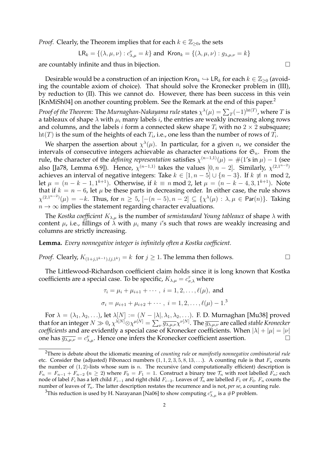*Proof.* Clearly, the Theorem implies that for each  $k \in \mathbb{Z}_{\geq 0}$ , the sets

$$
\mathsf{LR}_k = \{ (\lambda, \mu, \nu) : c_{\lambda, \mu}^{\nu} = k \} \text{ and } \mathsf{Kron}_k = \{ (\lambda, \mu, \nu) : g_{\lambda, \mu, \nu} = k \}
$$

are countably infinite and thus in bijection.

Desirable would be a construction of an injection Kron $_k \hookrightarrow \mathsf{LR}_k$  for each  $k \in \mathbb{Z}_{\geq 0}$  (avoiding the countable axiom of choice). That should solve the Kronecker problem in (III), by reduction to (II). This we cannot do. However, there has been success in this vein [KnMiSh04] on another counting problem. See the Remark at the end of this paper.<sup>2</sup>

*Proof of the Theorem: The Murnaghan-Nakayama rule states*  $\chi^\lambda(\mu) = \sum_T (-1)^{\text{ht}(T)}$ *, where*  $T$  *is* a tableaux of shape  $\lambda$  with  $\mu_i$  many labels i, the entries are weakly increasing along rows and columns, and the labels *i* form a connected skew shape  $T_i$  with no  $2 \times 2$  subsquare;  $\mathrm{ht}(T)$  is the sum of the heights of each  $T_i$ , i.e., one less than the number of rows of  $T_i.$ 

We sharpen the assertion about  $\chi^{\lambda}(\mu)$ . In particular, for a given n, we consider the intervals of consecutive integers achievable as character evaluations for  $\mathfrak{S}_n$ . From the rule, the character of the *defining representation* satisfies  $\chi^{(n-1,1)}(\mu) = \#(1\text{'s in }\mu) - 1$  (see also [Ja78, Lemma 6.9]). Hence,  $\chi^{(n-1,1)}$  takes the values  $[0, n-2]$ . Similarly,  $\chi^{(2,1^{n-2})}$ achieves an interval of negative integers: Take  $k \in [1, n-5] \cup \{n-3\}$ . If  $k \neq n \mod 2$ , let  $\mu = (n - k - 1, 1^{k+1})$ . Otherwise, if  $k \equiv n \mod 2$ , let  $\mu = (n - k - 4, 3, 1^{k+1})$ . Note that if  $k = n - 6$ , let  $\mu$  be these parts in decreasing order. In either case, the rule shows  $\chi^{(2,1^{n-2})}(\mu) = -k$ . Thus, for  $n \geq 5$ ,  $[-(n-5), n-2] \subseteq \{\chi^{\lambda}(\mu) : \lambda, \mu \in \mathsf{Par}(n)\}.$  Taking  $n \to \infty$  implies the statement regarding character evaluations.

The *Kostka coefficient*  $K_{\lambda,\mu}$  is the number of *semistandard Young tableaux* of shape  $\lambda$  with content  $\mu$ , i.e., fillings of  $\lambda$  with  $\mu_i$  many i's such that rows are weakly increasing and columns are strictly increasing.

**Lemma.** *Every nonnegative integer is infinitely often a Kostka coefficient.*

*Proof.* Clearly,  $K_{(1+j,1^{k-1}),(j,1^k)} = k$  for  $j \ge 1$ . The lemma then follows. □

The Littlewood-Richardson coefficient claim holds since it is long known that Kostka coefficients are a special case. To be specific,  $K_{\lambda,\mu} = c_{\sigma,\lambda}^{\tau}$  where

$$
\tau_i = \mu_i + \mu_{i+1} + \cdots, \quad i = 1, 2, \ldots, \ell(\mu), \text{ and}
$$
\n $\sigma_i = \mu_{i+1} + \mu_{i+2} + \cdots, \quad i = 1, 2, \ldots, \ell(\mu) - 1$ .<sup>3</sup>

For  $\lambda=(\lambda_1,\lambda_2,\ldots)$ , let  $\lambda[N]:=(N-|\lambda|,\lambda_1,\lambda_2,\ldots).$  F. D. Murnaghan [Mu38] proved that for an integer  $N\gg 0$ ,  $\chi^{\lambda[N]} \otimes \chi^{\mu[N]}=\sum_{\nu}\overline{g_{\lambda,\mu,\nu}}\chi^{\nu[N]}.$  The  $\overline{g_{\lambda,\mu,\nu}}$  are called *stable Kronecker coefficients* and are evidently a special case of Kronecker coefficients. When  $|\lambda| + |\mu| = |\nu|$ one has  $\overline{g_{\lambda,\mu,\nu}} = c_{\lambda,\mu}^{\nu}$ . Hence one infers the Kronecker coefficient assertion.

<sup>2</sup>There is debate about the idiomatic meaning of *counting rule* or *manifestly nonnegative combinatorial rule* etc. Consider the (adjusted) Fibonacci numbers  $(1, 1, 2, 3, 5, 8, 13, ...)$ . A counting rule is that  $F_n$  counts the number of  $(1, 2)$ -lists whose sum is *n*. The recursive (and computationally efficient) description is  $F_n = F_{n-1} + F_{n-2}$  ( $n \ge 2$ ) where  $F_0 = F_1 = 1$ . Construct a binary tree  $\mathcal{T}_n$  with root labelled  $F_n$ ; each node of label  $F_i$  has a left child  $F_{i-1}$  and right child  $F_{i-2}$ . Leaves of  $\mathcal{T}_n$  are labelled  $F_1$  or  $F_0$ .  $F_n$  counts the number of leaves of  $\mathcal{T}_n$ . The latter description restates the recurrence and is not, *per se*, a counting rule.

 $^3$ This reduction is used by H. Narayanan [Na06] to show computing  $c_{\lambda,\mu}^\nu$  is a #P problem.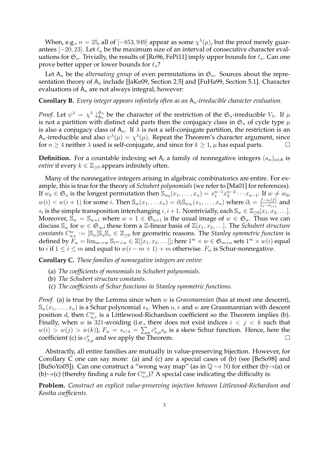When, e.g.,  $n = 25$ , all of  $[-853, 949]$  appear as some  $\chi^{\lambda}(\mu)$ , but the proof merely guarantees  $[-20, 23]$ . Let  $\ell_n$  be the maximum size of an interval of consecutive character evaluations for  $\mathfrak{S}_n$ . Trivially, the results of [Ro96, FePi11] imply upper bounds for  $\ell_n$ . Can one prove better upper or lower bounds for  $\ell_n$ ?

Let  $A_n$  be the *alternating group* of even permutations in  $\mathfrak{S}_n$ . Sources about the representation theory of  $A_n$  include [JaKe09, Section 2.5] and [FuHa99, Section 5.1]. Character evaluations of  $A_n$  are not always integral, however:

**Corollary B.** *Every integer appears infinitely often as an* An*-irreducible character evaluation.*

*Proof.* Let  $\psi^{\lambda} = \chi^{\lambda} \downarrow^{\mathfrak{S}_n}_{A_n}$  $\mathfrak{S}_n$  be the character of the restriction of the  $\mathfrak{S}_n$ -irreducible  $V_\lambda$ . If  $\mu$ is not a partition with distinct odd parts then the conjugacy class in  $\mathfrak{S}_n$  of cycle type  $\mu$ is also a conjugacy class of  $A_n$ . If  $\lambda$  is not a self-conjugate partition, the restriction is an A<sub>n</sub>-irreducible and also  $\psi^{\lambda}(\mu) = \chi^{\lambda}(\mu)$ . Repeat the Theorem's character argument, since for  $n \geq 4$  neither  $\lambda$  used is self-conjugate, and since for  $k \geq 1$ ,  $\mu$  has equal parts.

**Definition.** For a countable indexing set A, a family of nonnegative integers  $(a_{\alpha})_{\alpha \in A}$  is *entire* if every  $k \in \mathbb{Z}_{\geq 0}$  appears infinitely often.

Many of the nonnegative integers arising in algebraic combinatorics are entire. For example, this is true for the theory of *Schubert polynomials* (we refer to [Ma01] for references). If  $w_0 \in \mathfrak{S}_n$  is the longest permutation then  $\mathbb{S}_{w_0}(x_1, \ldots, x_n) = x_1^{n-1} x_2^{n-2} \cdots x_{n-1}$ . If  $w \neq w_0$ ,  $w(i) < w(i+1)$  for some i. Then  $\mathbb{S}_{w}(x_1, \ldots, x_n) = \partial_i \mathbb{S}_{ws_i}(x_1, \ldots, x_n)$  where  $\partial_i = \frac{f - s_i(f)}{x_i - x_{i+1}}$  $\frac{J - s_i(j)}{x_i - x_{i+1}}$  and  $s_i$  is the simple transposition interchanging  $i, i+1$ . Nontrivially, each  $\mathbb{S}_w \in \mathbb{Z}_{\geq 0}[x_1, x_2, \ldots]$ . Moreover,  $\mathbb{S}_w = \mathbb{S}_{w \times 1}$  where  $w \times 1 \in \mathfrak{S}_{n+1}$  is the usual image of  $w \in \mathfrak{S}_n$ . Thus we can discuss  $\mathbb{S}_w$  for  $w \in \mathfrak{S}_{\infty}$ ; these form a Z-linear basis of  $\mathbb{Z}[x_1, x_2, \ldots]$ . The *Schubert structure constants*  $C_{u,v}^w := [\mathbb{S}_w] \mathbb{S}_u \mathbb{S}_v \in \mathbb{Z}_{\geq 0}$  for geometric reasons. The *Stanley symmetric function* is defined by  $F_w = \lim_{m \to \infty} S_{1^m \times w} \in \mathbb{Z}[[x_1, x_2, \ldots]]$ ; here  $1^m \times w \in S_{m+n}$  sets  $1^m \times w(i)$  equal to *i* if  $1 \le i \le m$  and equal to  $w(i - m + 1) + m$  otherwise.  $F_w$  is Schur-nonnegative.

**Corollary C.** *These families of nonnegative integers are entire:*

- (a) *The coefficients of monomials in Schubert polynomials.*
- (b) *The Schubert structure constants.*
- (c) *The coefficients of Schur functions in Stanley symmetric functions.*

*Proof.* (a) is true by the Lemma since when w is *Grassmannian* (has at most one descent),  $\mathbb{S}_{w}(x_1,\ldots,x_n)$  is a Schur polynomial  $s_{\lambda}$ . When  $u, v$  and  $w$  are Grassmannian with descent position *d*, then  $C_{u,v}^w$  is a Littlewood-Richardson coefficient so the Theorem implies (b). Finally, when w is 321-avoiding (i.e., there does not exist indices  $i < j < k$  such that  $w(i) > w(j) > w(k)$ ),  $F_w = s_{\nu/\lambda} = \sum_{\mu} c_{\lambda,\mu}^{\nu} s_{\mu}$  is a skew Schur function. Hence, here the coefficient (c) is  $c_{\lambda,\mu}^{\nu}$  and we apply the Theorem.

Abstractly, all entire families are mutually in value-preserving bijection. However, for Corollary C one can say more: (a) and (c) are a special cases of (b) (see [BeSo98] and [BuSoYo05]). Can one construct a "wrong way map" (as in  $\mathbb{Q} \hookrightarrow \mathbb{N}$ ) for either (b) $\hookrightarrow$ (a) or (b) $\rightarrow$ (c) (thereby finding a rule for  $C_{u,v}^w$ )? A special case indicating the difficulty is:

**Problem.** *Construct an explicit value-preserving injection between Littlewood-Richardson and Kostka coefficients.*